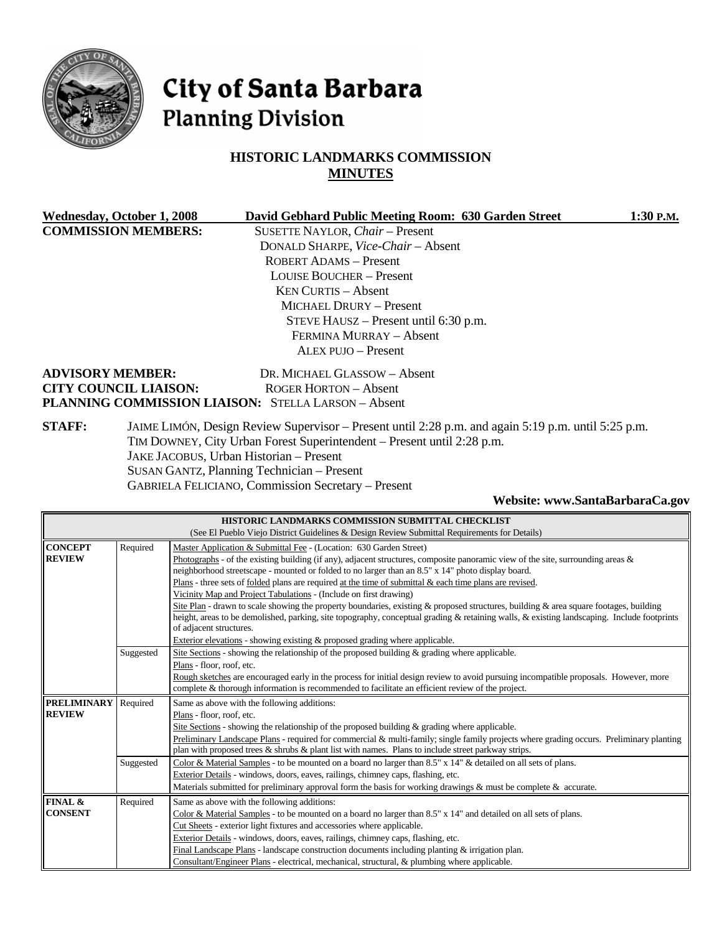

# City of Santa Barbara **Planning Division**

# **HISTORIC LANDMARKS COMMISSION MINUTES**

| Wednesday, October 1, 2008   | David Gebhard Public Meeting Room: 630 Garden Street                                                                                                                         | $1:30$ P.M. |
|------------------------------|------------------------------------------------------------------------------------------------------------------------------------------------------------------------------|-------------|
| <b>COMMISSION MEMBERS:</b>   | SUSETTE NAYLOR, Chair - Present                                                                                                                                              |             |
|                              | DONALD SHARPE, Vice-Chair - Absent                                                                                                                                           |             |
|                              | <b>ROBERT ADAMS - Present</b>                                                                                                                                                |             |
|                              | <b>LOUISE BOUCHER – Present</b>                                                                                                                                              |             |
|                              | $KEN$ CURTIS $-$ Absent                                                                                                                                                      |             |
|                              | MICHAEL DRURY – Present                                                                                                                                                      |             |
|                              | STEVE HAUSZ – Present until 6:30 p.m.                                                                                                                                        |             |
|                              | FERMINA MURRAY - Absent                                                                                                                                                      |             |
|                              | <b>ALEX PUJO - Present</b>                                                                                                                                                   |             |
| <b>ADVISORY MEMBER:</b>      | DR. MICHAEL GLASSOW - Absent                                                                                                                                                 |             |
| <b>CITY COUNCIL LIAISON:</b> | ROGER HORTON – Absent                                                                                                                                                        |             |
|                              | <b>PLANNING COMMISSION LIAISON: STELLA LARSON - Absent</b>                                                                                                                   |             |
| <b>STAFF:</b>                | JAIME LIMÓN, Design Review Supervisor – Present until 2:28 p.m. and again 5:19 p.m. until 5:25 p.m.<br>TIM DOWNEY City Urban Forest Superintendent – Present until $2.28$ pm |             |

TIM DOWNEY, City Urban Forest Superintendent – Present until 2:28 p.m. JAKE JACOBUS, Urban Historian – Present SUSAN GANTZ, Planning Technician – Present GABRIELA FELICIANO, Commission Secretary – Present

#### **Website: www.SantaBarbaraCa.gov**

| HISTORIC LANDMARKS COMMISSION SUBMITTAL CHECKLIST |                                                                                              |                                                                                                                                                                                                                                          |  |  |  |  |
|---------------------------------------------------|----------------------------------------------------------------------------------------------|------------------------------------------------------------------------------------------------------------------------------------------------------------------------------------------------------------------------------------------|--|--|--|--|
|                                                   | (See El Pueblo Viejo District Guidelines & Design Review Submittal Requirements for Details) |                                                                                                                                                                                                                                          |  |  |  |  |
| <b>CONCEPT</b>                                    | Required                                                                                     | Master Application & Submittal Fee - (Location: 630 Garden Street)                                                                                                                                                                       |  |  |  |  |
| <b>REVIEW</b>                                     |                                                                                              | Photographs - of the existing building (if any), adjacent structures, composite panoramic view of the site, surrounding areas $\&$                                                                                                       |  |  |  |  |
|                                                   |                                                                                              | neighborhood streetscape - mounted or folded to no larger than an 8.5" x 14" photo display board.                                                                                                                                        |  |  |  |  |
|                                                   |                                                                                              | Plans - three sets of folded plans are required at the time of submittal $\&$ each time plans are revised.                                                                                                                               |  |  |  |  |
|                                                   |                                                                                              | Vicinity Map and Project Tabulations - (Include on first drawing)                                                                                                                                                                        |  |  |  |  |
|                                                   |                                                                                              | Site Plan - drawn to scale showing the property boundaries, existing & proposed structures, building & area square footages, building                                                                                                    |  |  |  |  |
|                                                   |                                                                                              | height, areas to be demolished, parking, site topography, conceptual grading & retaining walls, & existing landscaping. Include footprints                                                                                               |  |  |  |  |
|                                                   |                                                                                              | of adjacent structures.                                                                                                                                                                                                                  |  |  |  |  |
|                                                   |                                                                                              | Exterior elevations - showing existing & proposed grading where applicable.                                                                                                                                                              |  |  |  |  |
|                                                   | Suggested                                                                                    | Site Sections - showing the relationship of the proposed building & grading where applicable.                                                                                                                                            |  |  |  |  |
|                                                   |                                                                                              | Plans - floor, roof, etc.                                                                                                                                                                                                                |  |  |  |  |
|                                                   |                                                                                              | Rough sketches are encouraged early in the process for initial design review to avoid pursuing incompatible proposals. However, more<br>complete & thorough information is recommended to facilitate an efficient review of the project. |  |  |  |  |
| <b>PRELIMINARY</b>                                | Required                                                                                     | Same as above with the following additions:                                                                                                                                                                                              |  |  |  |  |
| <b>REVIEW</b>                                     |                                                                                              | Plans - floor, roof, etc.                                                                                                                                                                                                                |  |  |  |  |
|                                                   |                                                                                              | Site Sections - showing the relationship of the proposed building $\&$ grading where applicable.                                                                                                                                         |  |  |  |  |
|                                                   |                                                                                              | Preliminary Landscape Plans - required for commercial & multi-family; single family projects where grading occurs. Preliminary planting                                                                                                  |  |  |  |  |
|                                                   |                                                                                              | plan with proposed trees $\&$ shrubs $\&$ plant list with names. Plans to include street parkway strips.                                                                                                                                 |  |  |  |  |
|                                                   | Suggested                                                                                    | Color & Material Samples - to be mounted on a board no larger than 8.5" x 14" & detailed on all sets of plans.                                                                                                                           |  |  |  |  |
|                                                   |                                                                                              | Exterior Details - windows, doors, eaves, railings, chimney caps, flashing, etc.                                                                                                                                                         |  |  |  |  |
|                                                   |                                                                                              | Materials submitted for preliminary approval form the basis for working drawings & must be complete & accurate.                                                                                                                          |  |  |  |  |
| FINAL &                                           | Required                                                                                     | Same as above with the following additions:                                                                                                                                                                                              |  |  |  |  |
| <b>CONSENT</b>                                    |                                                                                              | Color & Material Samples - to be mounted on a board no larger than 8.5" x 14" and detailed on all sets of plans.                                                                                                                         |  |  |  |  |
|                                                   |                                                                                              | Cut Sheets - exterior light fixtures and accessories where applicable.                                                                                                                                                                   |  |  |  |  |
|                                                   |                                                                                              | Exterior Details - windows, doors, eaves, railings, chimney caps, flashing, etc.                                                                                                                                                         |  |  |  |  |
|                                                   |                                                                                              | Final Landscape Plans - landscape construction documents including planting $&$ irrigation plan.                                                                                                                                         |  |  |  |  |
|                                                   |                                                                                              | Consultant/Engineer Plans - electrical, mechanical, structural, & plumbing where applicable.                                                                                                                                             |  |  |  |  |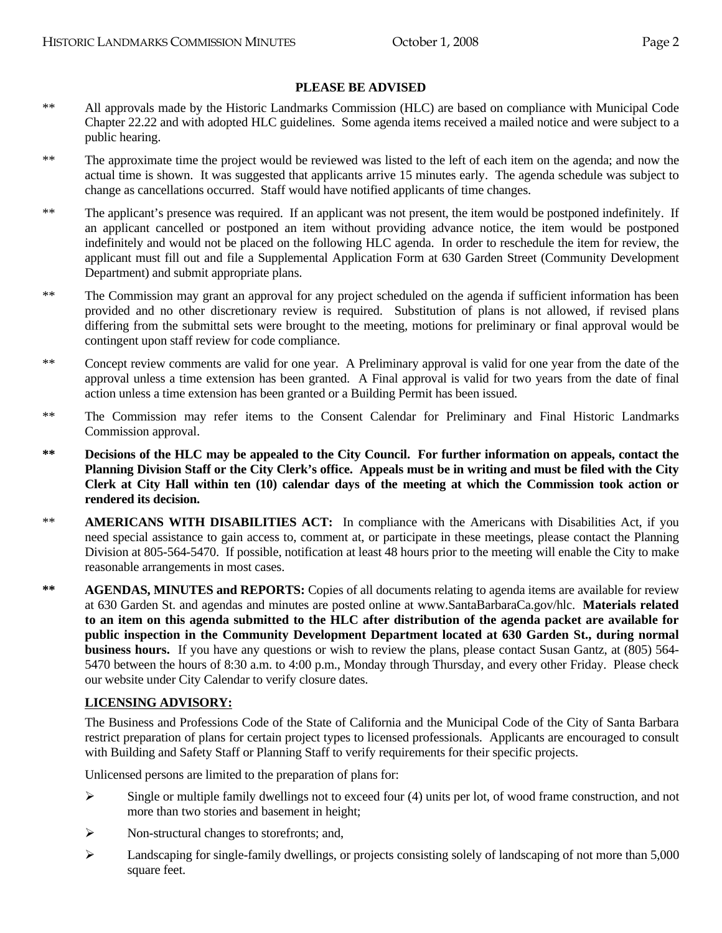#### **PLEASE BE ADVISED**

- \*\* All approvals made by the Historic Landmarks Commission (HLC) are based on compliance with Municipal Code Chapter 22.22 and with adopted HLC guidelines. Some agenda items received a mailed notice and were subject to a public hearing.
- \*\* The approximate time the project would be reviewed was listed to the left of each item on the agenda; and now the actual time is shown. It was suggested that applicants arrive 15 minutes early. The agenda schedule was subject to change as cancellations occurred. Staff would have notified applicants of time changes.
- \*\* The applicant's presence was required. If an applicant was not present, the item would be postponed indefinitely. If an applicant cancelled or postponed an item without providing advance notice, the item would be postponed indefinitely and would not be placed on the following HLC agenda. In order to reschedule the item for review, the applicant must fill out and file a Supplemental Application Form at 630 Garden Street (Community Development Department) and submit appropriate plans.
- \*\* The Commission may grant an approval for any project scheduled on the agenda if sufficient information has been provided and no other discretionary review is required. Substitution of plans is not allowed, if revised plans differing from the submittal sets were brought to the meeting, motions for preliminary or final approval would be contingent upon staff review for code compliance.
- \*\* Concept review comments are valid for one year. A Preliminary approval is valid for one year from the date of the approval unless a time extension has been granted. A Final approval is valid for two years from the date of final action unless a time extension has been granted or a Building Permit has been issued.
- \*\* The Commission may refer items to the Consent Calendar for Preliminary and Final Historic Landmarks Commission approval.
- **\*\* Decisions of the HLC may be appealed to the City Council. For further information on appeals, contact the Planning Division Staff or the City Clerk's office. Appeals must be in writing and must be filed with the City Clerk at City Hall within ten (10) calendar days of the meeting at which the Commission took action or rendered its decision.**
- \*\* **AMERICANS WITH DISABILITIES ACT:** In compliance with the Americans with Disabilities Act, if you need special assistance to gain access to, comment at, or participate in these meetings, please contact the Planning Division at 805-564-5470. If possible, notification at least 48 hours prior to the meeting will enable the City to make reasonable arrangements in most cases.
- **\*\* AGENDAS, MINUTES and REPORTS:** Copies of all documents relating to agenda items are available for review at 630 Garden St. and agendas and minutes are posted online at www.SantaBarbaraCa.gov/hlc. **Materials related to an item on this agenda submitted to the HLC after distribution of the agenda packet are available for public inspection in the Community Development Department located at 630 Garden St., during normal business hours.** If you have any questions or wish to review the plans, please contact Susan Gantz, at (805) 564- 5470 between the hours of 8:30 a.m. to 4:00 p.m., Monday through Thursday, and every other Friday. Please check our website under City Calendar to verify closure dates.

#### **LICENSING ADVISORY:**

The Business and Professions Code of the State of California and the Municipal Code of the City of Santa Barbara restrict preparation of plans for certain project types to licensed professionals. Applicants are encouraged to consult with Building and Safety Staff or Planning Staff to verify requirements for their specific projects.

Unlicensed persons are limited to the preparation of plans for:

- $\triangleright$  Single or multiple family dwellings not to exceed four (4) units per lot, of wood frame construction, and not more than two stories and basement in height;
- ¾ Non-structural changes to storefronts; and,
- ¾ Landscaping for single-family dwellings, or projects consisting solely of landscaping of not more than 5,000 square feet.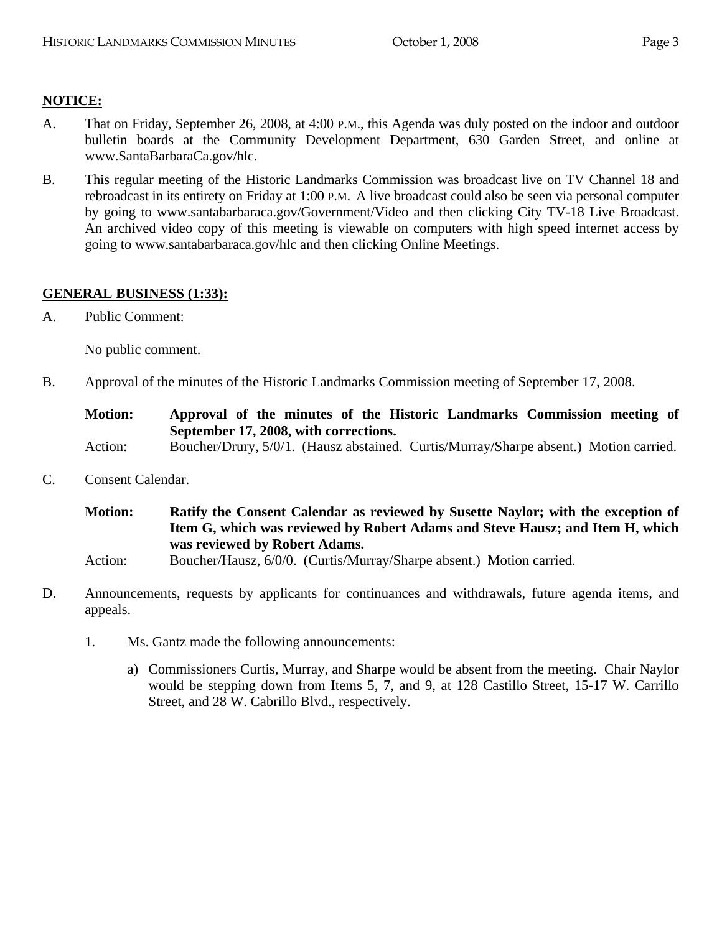# **NOTICE:**

- A. That on Friday, September 26, 2008, at 4:00 P.M., this Agenda was duly posted on the indoor and outdoor bulletin boards at the Community Development Department, 630 Garden Street, and online at www.SantaBarbaraCa.gov/hlc.
- B. This regular meeting of the Historic Landmarks Commission was broadcast live on TV Channel 18 and rebroadcast in its entirety on Friday at 1:00 P.M. A live broadcast could also be seen via personal computer by going to www.santabarbaraca.gov/Government/Video and then clicking City TV-18 Live Broadcast. An archived video copy of this meeting is viewable on computers with high speed internet access by going to www.santabarbaraca.gov/hlc and then clicking Online Meetings.

# **GENERAL BUSINESS (1:33):**

A. Public Comment:

No public comment.

B. Approval of the minutes of the Historic Landmarks Commission meeting of September 17, 2008.

**Motion: Approval of the minutes of the Historic Landmarks Commission meeting of September 17, 2008, with corrections.** 

- Action: Boucher/Drury, 5/0/1. (Hausz abstained. Curtis/Murray/Sharpe absent.) Motion carried.
- C. Consent Calendar.

**Motion: Ratify the Consent Calendar as reviewed by Susette Naylor; with the exception of Item G, which was reviewed by Robert Adams and Steve Hausz; and Item H, which was reviewed by Robert Adams.** 

- Action: Boucher/Hausz, 6/0/0. (Curtis/Murray/Sharpe absent.) Motion carried.
- D. Announcements, requests by applicants for continuances and withdrawals, future agenda items, and appeals.
	- 1. Ms. Gantz made the following announcements:
		- a) Commissioners Curtis, Murray, and Sharpe would be absent from the meeting. Chair Naylor would be stepping down from Items 5, 7, and 9, at 128 Castillo Street, 15-17 W. Carrillo Street, and 28 W. Cabrillo Blvd., respectively.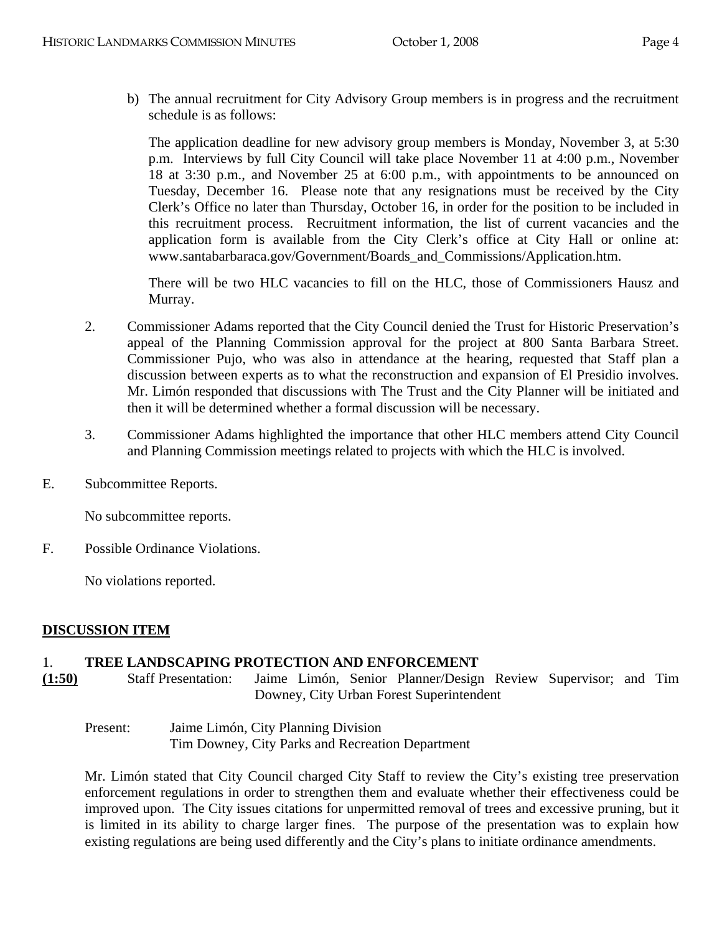b) The annual recruitment for City Advisory Group members is in progress and the recruitment schedule is as follows:

The application deadline for new advisory group members is Monday, November 3, at 5:30 p.m. Interviews by full City Council will take place November 11 at 4:00 p.m., November 18 at 3:30 p.m., and November 25 at 6:00 p.m., with appointments to be announced on Tuesday, December 16. Please note that any resignations must be received by the City Clerk's Office no later than Thursday, October 16, in order for the position to be included in this recruitment process. Recruitment information, the list of current vacancies and the application form is available from the City Clerk's office at City Hall or online at: www.santabarbaraca.gov/Government/Boards\_and\_Commissions/Application.htm.

There will be two HLC vacancies to fill on the HLC, those of Commissioners Hausz and Murray.

- 2. Commissioner Adams reported that the City Council denied the Trust for Historic Preservation's appeal of the Planning Commission approval for the project at 800 Santa Barbara Street. Commissioner Pujo, who was also in attendance at the hearing, requested that Staff plan a discussion between experts as to what the reconstruction and expansion of El Presidio involves. Mr. Limón responded that discussions with The Trust and the City Planner will be initiated and then it will be determined whether a formal discussion will be necessary.
- 3. Commissioner Adams highlighted the importance that other HLC members attend City Council and Planning Commission meetings related to projects with which the HLC is involved.
- E. Subcommittee Reports.

No subcommittee reports.

F. Possible Ordinance Violations.

No violations reported.

# **DISCUSSION ITEM**

# 1. **TREE LANDSCAPING PROTECTION AND ENFORCEMENT**

- **(1:50)** Staff Presentation: Jaime Limón, Senior Planner/Design Review Supervisor; and Tim Downey, City Urban Forest Superintendent
	- Present: Jaime Limón, City Planning Division Tim Downey, City Parks and Recreation Department

Mr. Limón stated that City Council charged City Staff to review the City's existing tree preservation enforcement regulations in order to strengthen them and evaluate whether their effectiveness could be improved upon. The City issues citations for unpermitted removal of trees and excessive pruning, but it is limited in its ability to charge larger fines. The purpose of the presentation was to explain how existing regulations are being used differently and the City's plans to initiate ordinance amendments.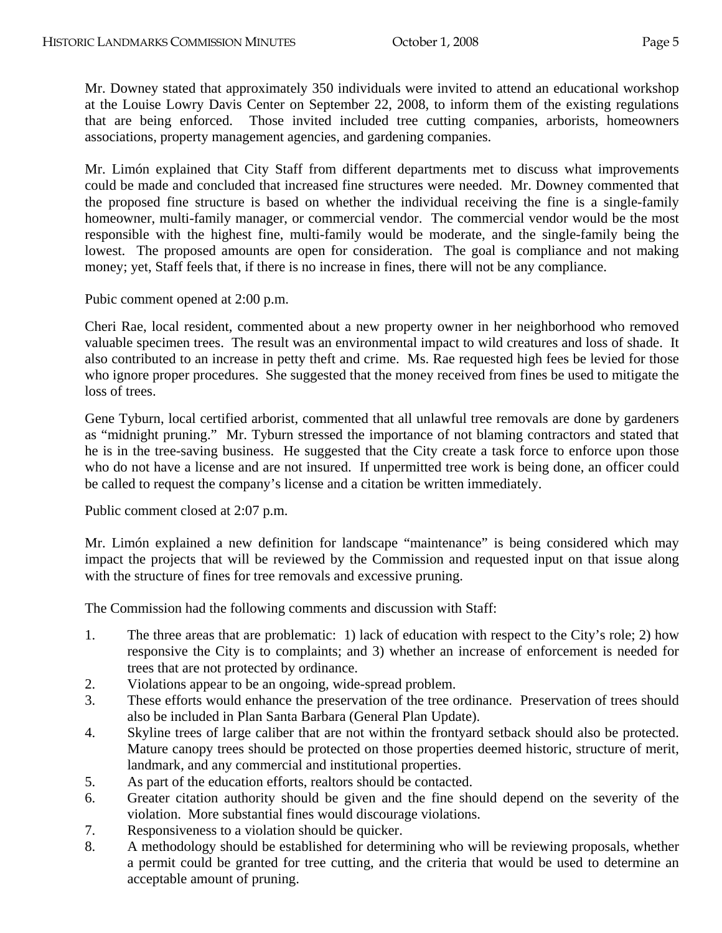Mr. Downey stated that approximately 350 individuals were invited to attend an educational workshop at the Louise Lowry Davis Center on September 22, 2008, to inform them of the existing regulations that are being enforced. Those invited included tree cutting companies, arborists, homeowners associations, property management agencies, and gardening companies.

Mr. Limón explained that City Staff from different departments met to discuss what improvements could be made and concluded that increased fine structures were needed. Mr. Downey commented that the proposed fine structure is based on whether the individual receiving the fine is a single-family homeowner, multi-family manager, or commercial vendor. The commercial vendor would be the most responsible with the highest fine, multi-family would be moderate, and the single-family being the lowest. The proposed amounts are open for consideration. The goal is compliance and not making money; yet, Staff feels that, if there is no increase in fines, there will not be any compliance.

Pubic comment opened at 2:00 p.m.

Cheri Rae, local resident, commented about a new property owner in her neighborhood who removed valuable specimen trees. The result was an environmental impact to wild creatures and loss of shade. It also contributed to an increase in petty theft and crime. Ms. Rae requested high fees be levied for those who ignore proper procedures. She suggested that the money received from fines be used to mitigate the loss of trees.

Gene Tyburn, local certified arborist, commented that all unlawful tree removals are done by gardeners as "midnight pruning." Mr. Tyburn stressed the importance of not blaming contractors and stated that he is in the tree-saving business. He suggested that the City create a task force to enforce upon those who do not have a license and are not insured. If unpermitted tree work is being done, an officer could be called to request the company's license and a citation be written immediately.

Public comment closed at 2:07 p.m.

Mr. Limón explained a new definition for landscape "maintenance" is being considered which may impact the projects that will be reviewed by the Commission and requested input on that issue along with the structure of fines for tree removals and excessive pruning.

The Commission had the following comments and discussion with Staff:

- 1. The three areas that are problematic: 1) lack of education with respect to the City's role; 2) how responsive the City is to complaints; and 3) whether an increase of enforcement is needed for trees that are not protected by ordinance.
- 2. Violations appear to be an ongoing, wide-spread problem.
- 3. These efforts would enhance the preservation of the tree ordinance. Preservation of trees should also be included in Plan Santa Barbara (General Plan Update).
- 4. Skyline trees of large caliber that are not within the frontyard setback should also be protected. Mature canopy trees should be protected on those properties deemed historic, structure of merit, landmark, and any commercial and institutional properties.
- 5. As part of the education efforts, realtors should be contacted.
- 6. Greater citation authority should be given and the fine should depend on the severity of the violation. More substantial fines would discourage violations.
- 7. Responsiveness to a violation should be quicker.
- 8. A methodology should be established for determining who will be reviewing proposals, whether a permit could be granted for tree cutting, and the criteria that would be used to determine an acceptable amount of pruning.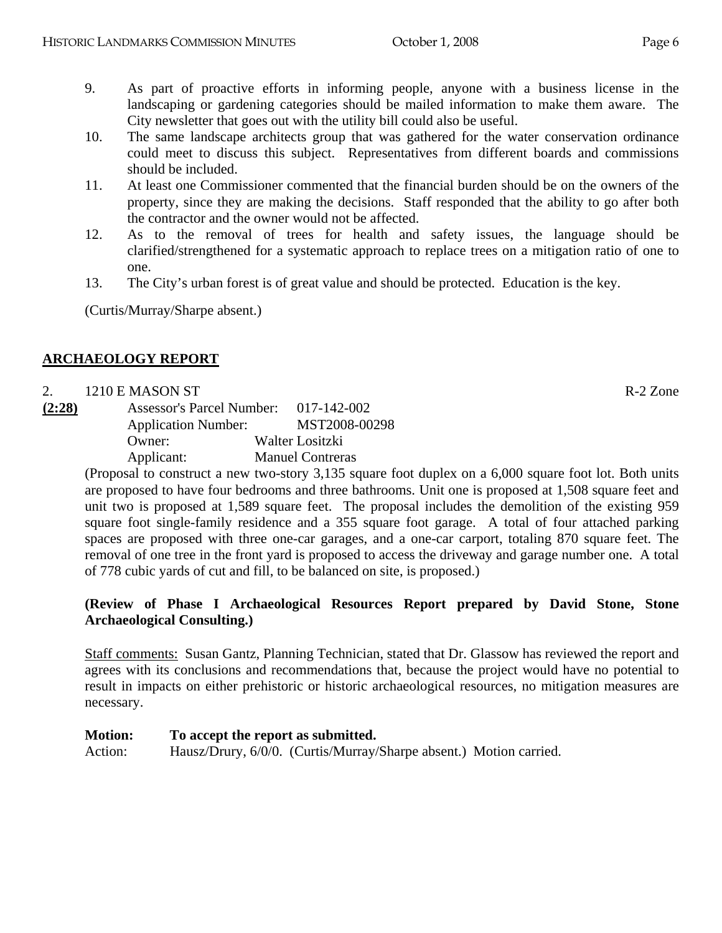- 9. As part of proactive efforts in informing people, anyone with a business license in the landscaping or gardening categories should be mailed information to make them aware. The City newsletter that goes out with the utility bill could also be useful.
- 10. The same landscape architects group that was gathered for the water conservation ordinance could meet to discuss this subject. Representatives from different boards and commissions should be included.
- 11. At least one Commissioner commented that the financial burden should be on the owners of the property, since they are making the decisions. Staff responded that the ability to go after both the contractor and the owner would not be affected.
- 12. As to the removal of trees for health and safety issues, the language should be clarified/strengthened for a systematic approach to replace trees on a mitigation ratio of one to one.
- 13. The City's urban forest is of great value and should be protected. Education is the key.

(Curtis/Murray/Sharpe absent.)

# **ARCHAEOLOGY REPORT**

#### 2. 1210 E MASON ST R-2 Zone

**(2:28)** Assessor's Parcel Number: 017-142-002 Application Number: MST2008-00298 Owner: Walter Lositzki Applicant: Manuel Contreras

> (Proposal to construct a new two-story 3,135 square foot duplex on a 6,000 square foot lot. Both units are proposed to have four bedrooms and three bathrooms. Unit one is proposed at 1,508 square feet and unit two is proposed at 1,589 square feet. The proposal includes the demolition of the existing 959 square foot single-family residence and a 355 square foot garage. A total of four attached parking spaces are proposed with three one-car garages, and a one-car carport, totaling 870 square feet. The removal of one tree in the front yard is proposed to access the driveway and garage number one. A total of 778 cubic yards of cut and fill, to be balanced on site, is proposed.)

# **(Review of Phase I Archaeological Resources Report prepared by David Stone, Stone Archaeological Consulting.)**

Staff comments: Susan Gantz, Planning Technician, stated that Dr. Glassow has reviewed the report and agrees with its conclusions and recommendations that, because the project would have no potential to result in impacts on either prehistoric or historic archaeological resources, no mitigation measures are necessary.

#### **Motion: To accept the report as submitted.**

Action: Hausz/Drury, 6/0/0. (Curtis/Murray/Sharpe absent.) Motion carried.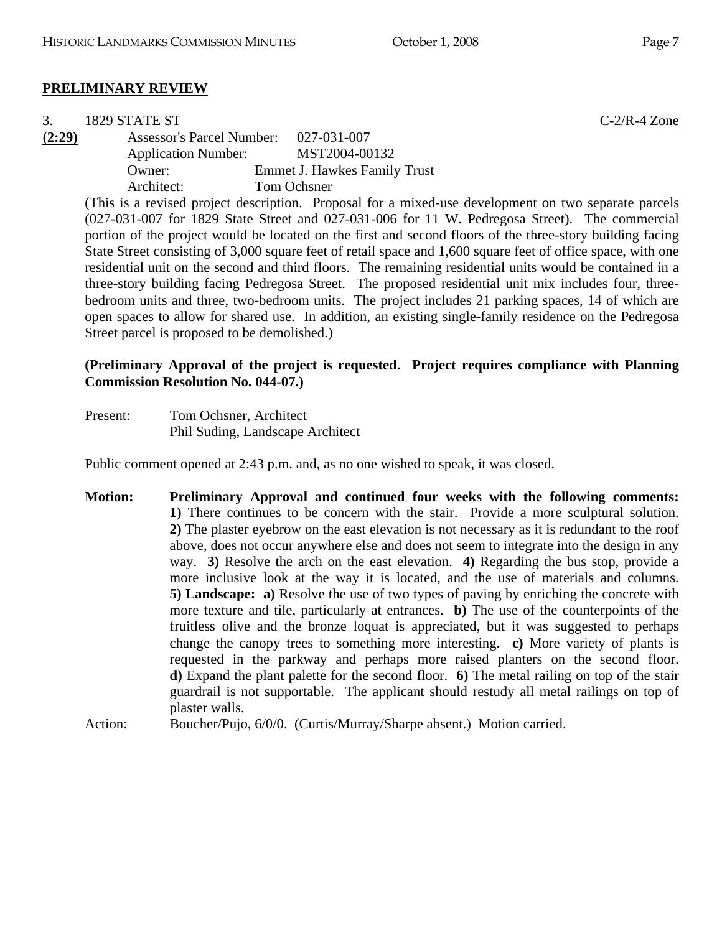#### **PRELIMINARY REVIEW**

| 3.     | 1829 STATE ST                    |                                                                                                              | $C-2/R-4$ Zone |
|--------|----------------------------------|--------------------------------------------------------------------------------------------------------------|----------------|
| (2:29) | <b>Assessor's Parcel Number:</b> | 027-031-007                                                                                                  |                |
|        | <b>Application Number:</b>       | MST2004-00132                                                                                                |                |
|        | Owner:                           | <b>Emmet J. Hawkes Family Trust</b>                                                                          |                |
|        | Architect:                       | Tom Ochsner                                                                                                  |                |
|        |                                  | (This is a revised project description. Proposal for a mixed-use development on two separate parcels         |                |
|        |                                  | $(027-031-007)$ for 1829 State Street and 027-031-006 for 11 W. Pedregosa Street). The commercial            |                |
|        |                                  | portion of the project would be located on the first and second floors of the three-story building facing    |                |
|        |                                  | State Street consisting of 3,000 square feet of retail space and 1,600 square feet of office space, with one |                |
|        |                                  | residential unit on the second and third floors. The remaining residential units would be contained in a     |                |

three-story building facing Pedregosa Street. The proposed residential unit mix includes four, threebedroom units and three, two-bedroom units. The project includes 21 parking spaces, 14 of which are open spaces to allow for shared use. In addition, an existing single-family residence on the Pedregosa Street parcel is proposed to be demolished.)

#### **(Preliminary Approval of the project is requested. Project requires compliance with Planning Commission Resolution No. 044-07.)**

| Present: | Tom Ochsner, Architect           |
|----------|----------------------------------|
|          | Phil Suding, Landscape Architect |

Public comment opened at 2:43 p.m. and, as no one wished to speak, it was closed.

**Motion: Preliminary Approval and continued four weeks with the following comments: 1)** There continues to be concern with the stair. Provide a more sculptural solution. **2)** The plaster eyebrow on the east elevation is not necessary as it is redundant to the roof above, does not occur anywhere else and does not seem to integrate into the design in any way. **3)** Resolve the arch on the east elevation. **4)** Regarding the bus stop, provide a more inclusive look at the way it is located, and the use of materials and columns. **5) Landscape: a)** Resolve the use of two types of paving by enriching the concrete with more texture and tile, particularly at entrances. **b)** The use of the counterpoints of the fruitless olive and the bronze loquat is appreciated, but it was suggested to perhaps change the canopy trees to something more interesting. **c)** More variety of plants is requested in the parkway and perhaps more raised planters on the second floor. **d)** Expand the plant palette for the second floor. **6)** The metal railing on top of the stair guardrail is not supportable. The applicant should restudy all metal railings on top of plaster walls.

Action: Boucher/Pujo, 6/0/0. (Curtis/Murray/Sharpe absent.) Motion carried.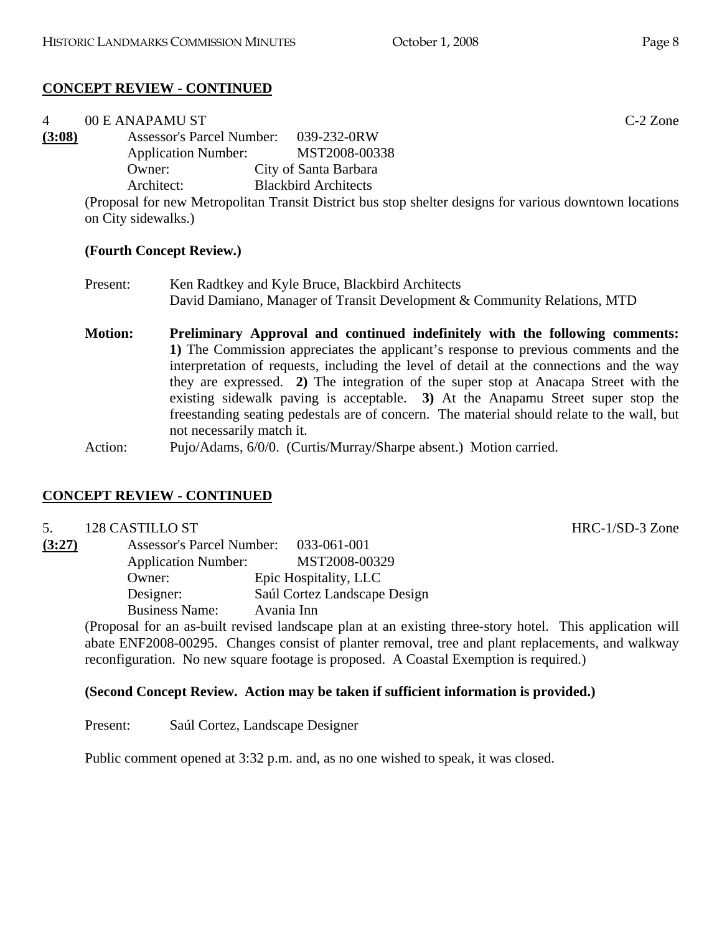| 4      | 00 E ANAPAMU ST                       |                                                                                                         | $C-2$ Zone |
|--------|---------------------------------------|---------------------------------------------------------------------------------------------------------|------------|
| (3:08) | Assessor's Parcel Number: 039-232-0RW |                                                                                                         |            |
|        | <b>Application Number:</b>            | MST2008-00338                                                                                           |            |
|        | Owner:                                | City of Santa Barbara                                                                                   |            |
|        | Architect:                            | <b>Blackbird Architects</b>                                                                             |            |
|        |                                       | (Proposal for new Metropolitan Transit District bus stop shelter designs for various downtown locations |            |
|        | on City sidewalks.)                   |                                                                                                         |            |

#### **(Fourth Concept Review.)**

- Present: Ken Radtkey and Kyle Bruce, Blackbird Architects David Damiano, Manager of Transit Development & Community Relations, MTD
- **Motion: Preliminary Approval and continued indefinitely with the following comments: 1)** The Commission appreciates the applicant's response to previous comments and the interpretation of requests, including the level of detail at the connections and the way they are expressed. **2)** The integration of the super stop at Anacapa Street with the existing sidewalk paving is acceptable. **3)** At the Anapamu Street super stop the freestanding seating pedestals are of concern. The material should relate to the wall, but not necessarily match it.
- Action: Pujo/Adams, 6/0/0. (Curtis/Murray/Sharpe absent.) Motion carried.

# **CONCEPT REVIEW - CONTINUED**

#### 5. 128 CASTILLO ST HRC-1/SD-3 Zone

**(3:27)** Assessor's Parcel Number: 033-061-001 Application Number: MST2008-00329 Owner: Epic Hospitality, LLC Designer: Saúl Cortez Landscape Design Business Name: Avania Inn

(Proposal for an as-built revised landscape plan at an existing three-story hotel. This application will abate ENF2008-00295. Changes consist of planter removal, tree and plant replacements, and walkway reconfiguration. No new square footage is proposed. A Coastal Exemption is required.)

#### **(Second Concept Review. Action may be taken if sufficient information is provided.)**

Present: Saúl Cortez, Landscape Designer

Public comment opened at 3:32 p.m. and, as no one wished to speak, it was closed.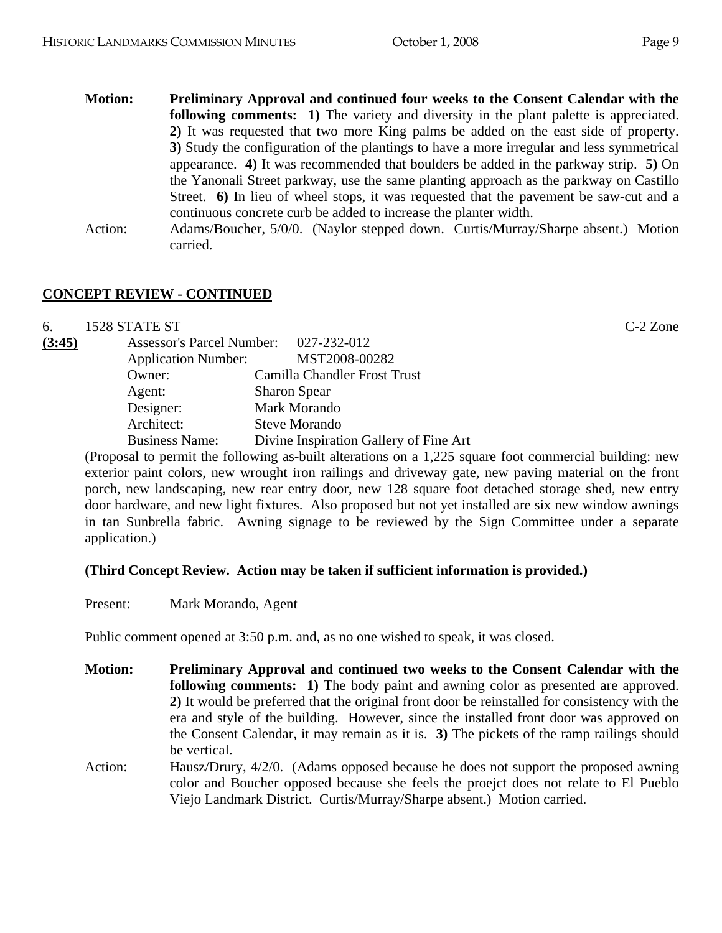- **Motion: Preliminary Approval and continued four weeks to the Consent Calendar with the following comments:** 1) The variety and diversity in the plant palette is appreciated. **2)** It was requested that two more King palms be added on the east side of property. **3)** Study the configuration of the plantings to have a more irregular and less symmetrical appearance. **4)** It was recommended that boulders be added in the parkway strip. **5)** On the Yanonali Street parkway, use the same planting approach as the parkway on Castillo Street. **6)** In lieu of wheel stops, it was requested that the pavement be saw-cut and a continuous concrete curb be added to increase the planter width.
- Action: Adams/Boucher, 5/0/0. (Naylor stepped down. Curtis/Murray/Sharpe absent.) Motion carried.

6. 1528 STATE ST C-2 Zone **(3:45)** Assessor's Parcel Number: 027-232-012 Application Number: MST2008-00282 Owner: Camilla Chandler Frost Trust Agent: Sharon Spear Designer: Mark Morando Architect: Steve Morando Business Name: Divine Inspiration Gallery of Fine Art

(Proposal to permit the following as-built alterations on a 1,225 square foot commercial building: new exterior paint colors, new wrought iron railings and driveway gate, new paving material on the front porch, new landscaping, new rear entry door, new 128 square foot detached storage shed, new entry door hardware, and new light fixtures. Also proposed but not yet installed are six new window awnings in tan Sunbrella fabric. Awning signage to be reviewed by the Sign Committee under a separate application.)

#### **(Third Concept Review. Action may be taken if sufficient information is provided.)**

Present: Mark Morando, Agent

Public comment opened at 3:50 p.m. and, as no one wished to speak, it was closed.

- **Motion: Preliminary Approval and continued two weeks to the Consent Calendar with the following comments: 1)** The body paint and awning color as presented are approved. **2)** It would be preferred that the original front door be reinstalled for consistency with the era and style of the building. However, since the installed front door was approved on the Consent Calendar, it may remain as it is. **3)** The pickets of the ramp railings should be vertical.
- Action: Hausz/Drury, 4/2/0. (Adams opposed because he does not support the proposed awning color and Boucher opposed because she feels the proejct does not relate to El Pueblo Viejo Landmark District. Curtis/Murray/Sharpe absent.) Motion carried.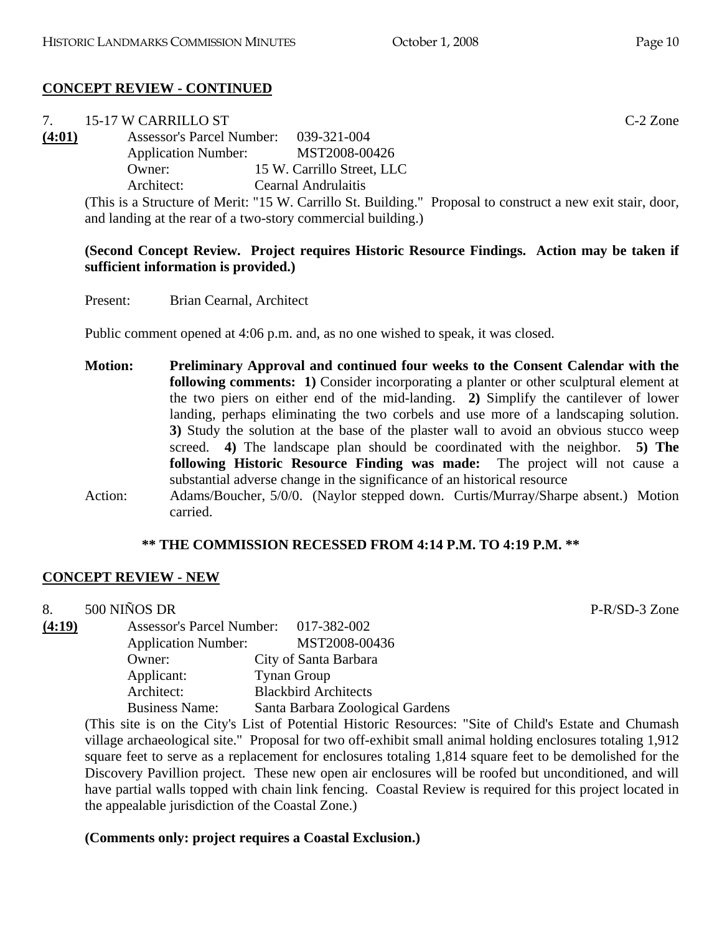| $7^{\circ}$ | 15-17 W CARRILLO ST                   |                                                                                                             | $C-2$ Zone |
|-------------|---------------------------------------|-------------------------------------------------------------------------------------------------------------|------------|
| (4:01)      | Assessor's Parcel Number: 039-321-004 |                                                                                                             |            |
|             | <b>Application Number:</b>            | MST2008-00426                                                                                               |            |
|             | Owner:                                | 15 W. Carrillo Street, LLC                                                                                  |            |
|             | Architect:                            | <b>Cearnal Andrulaitis</b>                                                                                  |            |
|             |                                       | (This is a Structure of Merit: "15 W. Carrillo St. Building." Proposal to construct a new exit stair, door, |            |
|             |                                       | and landing at the rear of a two-story commercial building.)                                                |            |

## **(Second Concept Review. Project requires Historic Resource Findings. Action may be taken if sufficient information is provided.)**

Present: Brian Cearnal, Architect

Public comment opened at 4:06 p.m. and, as no one wished to speak, it was closed.

**Motion: Preliminary Approval and continued four weeks to the Consent Calendar with the following comments: 1)** Consider incorporating a planter or other sculptural element at the two piers on either end of the mid-landing. **2)** Simplify the cantilever of lower landing, perhaps eliminating the two corbels and use more of a landscaping solution. **3)** Study the solution at the base of the plaster wall to avoid an obvious stucco weep screed. **4)** The landscape plan should be coordinated with the neighbor. **5) The following Historic Resource Finding was made:** The project will not cause a substantial adverse change in the significance of an historical resource Action: Adams/Boucher, 5/0/0. (Naylor stepped down. Curtis/Murray/Sharpe absent.) Motion carried.

#### **\*\* THE COMMISSION RECESSED FROM 4:14 P.M. TO 4:19 P.M. \*\***

#### **CONCEPT REVIEW - NEW**

| 8.     | 500 NINOS DR                          |                                  |
|--------|---------------------------------------|----------------------------------|
| (4:19) | Assessor's Parcel Number: 017-382-002 |                                  |
|        | <b>Application Number:</b>            | MST2008-00436                    |
|        | Owner:                                | City of Santa Barbara            |
|        | Applicant:                            | <b>Tynan Group</b>               |
|        | Architect:                            | <b>Blackbird Architects</b>      |
|        | <b>Business Name:</b>                 | Santa Barbara Zoological Gardens |

(This site is on the City's List of Potential Historic Resources: "Site of Child's Estate and Chumash village archaeological site." Proposal for two off-exhibit small animal holding enclosures totaling 1,912 square feet to serve as a replacement for enclosures totaling 1,814 square feet to be demolished for the Discovery Pavillion project. These new open air enclosures will be roofed but unconditioned, and will have partial walls topped with chain link fencing. Coastal Review is required for this project located in the appealable jurisdiction of the Coastal Zone.)

#### **(Comments only: project requires a Coastal Exclusion.)**

P-R/SD-3 Zone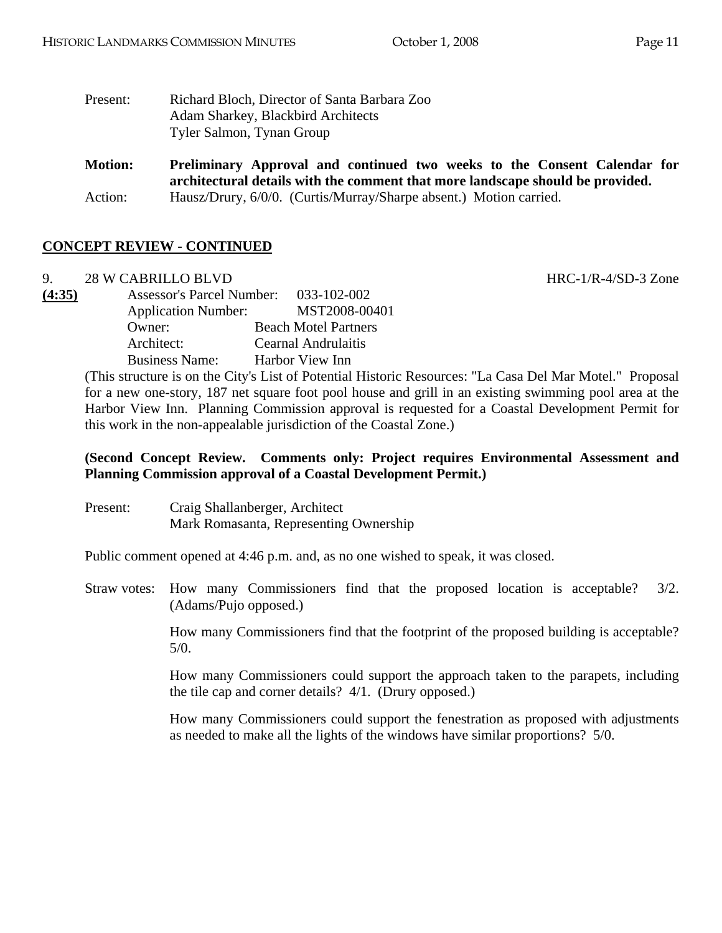| Present: | Richard Bloch, Director of Santa Barbara Zoo |
|----------|----------------------------------------------|
|          | Adam Sharkey, Blackbird Architects           |
|          | Tyler Salmon, Tynan Group                    |

**Motion: Preliminary Approval and continued two weeks to the Consent Calendar for architectural details with the comment that more landscape should be provided.**  Action: Hausz/Drury, 6/0/0. (Curtis/Murray/Sharpe absent.) Motion carried.

# **CONCEPT REVIEW - CONTINUED**

9. 28 W CABRILLO BLVD **HRC-1/R-4/SD-3** Zone

**(4:35)** Assessor's Parcel Number: 033-102-002 Application Number: MST2008-00401 Owner: Beach Motel Partners Architect: Cearnal Andrulaitis Business Name: Harbor View Inn

> (This structure is on the City's List of Potential Historic Resources: "La Casa Del Mar Motel." Proposal for a new one-story, 187 net square foot pool house and grill in an existing swimming pool area at the Harbor View Inn. Planning Commission approval is requested for a Coastal Development Permit for this work in the non-appealable jurisdiction of the Coastal Zone.)

# **(Second Concept Review. Comments only: Project requires Environmental Assessment and Planning Commission approval of a Coastal Development Permit.)**

| Present: | Craig Shallanberger, Architect         |
|----------|----------------------------------------|
|          | Mark Romasanta, Representing Ownership |

Public comment opened at 4:46 p.m. and, as no one wished to speak, it was closed.

Straw votes: How many Commissioners find that the proposed location is acceptable? 3/2. (Adams/Pujo opposed.)

> How many Commissioners find that the footprint of the proposed building is acceptable? 5/0.

> How many Commissioners could support the approach taken to the parapets, including the tile cap and corner details? 4/1. (Drury opposed.)

> How many Commissioners could support the fenestration as proposed with adjustments as needed to make all the lights of the windows have similar proportions? 5/0.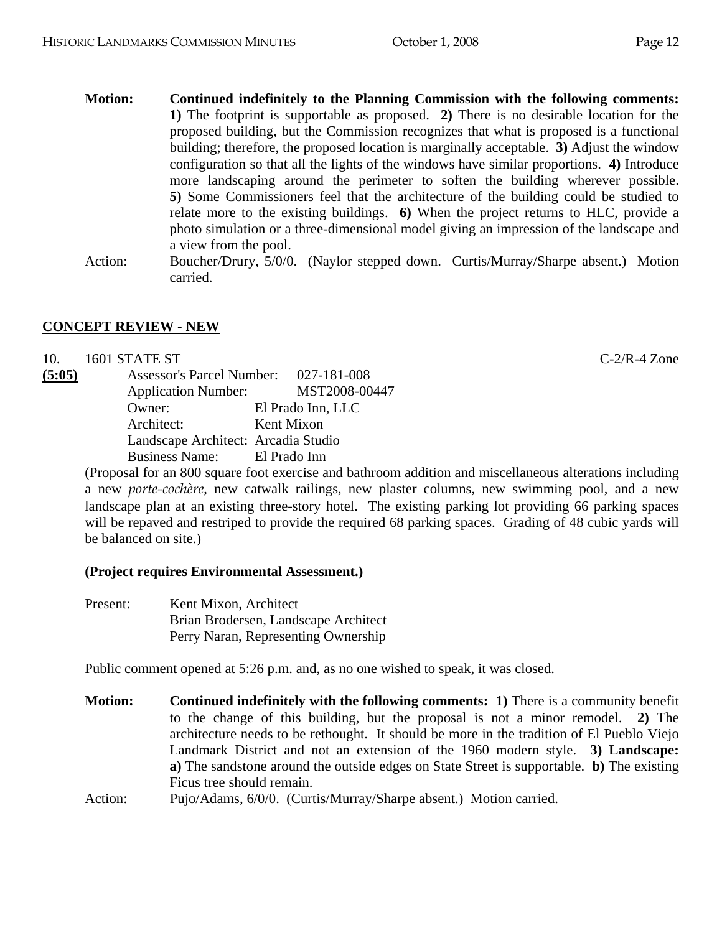- **Motion: Continued indefinitely to the Planning Commission with the following comments: 1)** The footprint is supportable as proposed. **2)** There is no desirable location for the proposed building, but the Commission recognizes that what is proposed is a functional building; therefore, the proposed location is marginally acceptable. **3)** Adjust the window configuration so that all the lights of the windows have similar proportions. **4)** Introduce more landscaping around the perimeter to soften the building wherever possible. **5)** Some Commissioners feel that the architecture of the building could be studied to relate more to the existing buildings. **6)** When the project returns to HLC, provide a photo simulation or a three-dimensional model giving an impression of the landscape and a view from the pool.
- Action: Boucher/Drury, 5/0/0. (Naylor stepped down. Curtis/Murray/Sharpe absent.) Motion carried.

# **CONCEPT REVIEW - NEW**

| 10.    | 1601 STATE ST                       |                                       | $C-2/R-4$ Zone |
|--------|-------------------------------------|---------------------------------------|----------------|
| (5:05) |                                     | Assessor's Parcel Number: 027-181-008 |                |
|        |                                     | Application Number: MST2008-00447     |                |
| Owner: |                                     | El Prado Inn, LLC                     |                |
|        | Architect:                          | Kent Mixon                            |                |
|        | Landscape Architect: Arcadia Studio |                                       |                |
|        | Business Name: El Prado Inn         |                                       |                |

(Proposal for an 800 square foot exercise and bathroom addition and miscellaneous alterations including a new *porte-cochère*, new catwalk railings, new plaster columns, new swimming pool, and a new landscape plan at an existing three-story hotel. The existing parking lot providing 66 parking spaces will be repaved and restriped to provide the required 68 parking spaces. Grading of 48 cubic yards will be balanced on site.)

#### **(Project requires Environmental Assessment.)**

Present: Kent Mixon, Architect Brian Brodersen, Landscape Architect Perry Naran, Representing Ownership

Public comment opened at 5:26 p.m. and, as no one wished to speak, it was closed.

- **Motion: Continued indefinitely with the following comments: 1)** There is a community benefit to the change of this building, but the proposal is not a minor remodel. **2)** The architecture needs to be rethought. It should be more in the tradition of El Pueblo Viejo Landmark District and not an extension of the 1960 modern style. **3) Landscape: a)** The sandstone around the outside edges on State Street is supportable. **b)** The existing Ficus tree should remain.
- Action: Pujo/Adams, 6/0/0. (Curtis/Murray/Sharpe absent.) Motion carried.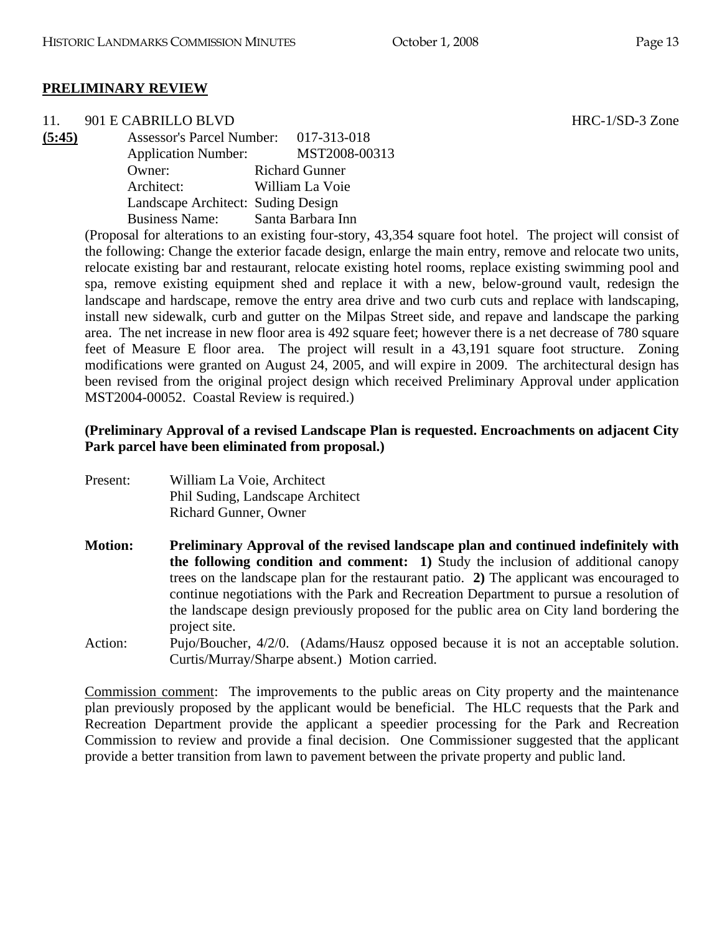## **PRELIMINARY REVIEW**

11. 901 E CABRILLO BLVD HRC-1/SD-3 Zone

**(5:45)** Assessor's Parcel Number: 017-313-018 Application Number: MST2008-00313 Owner: Richard Gunner Architect: William La Voie Landscape Architect: Suding Design Business Name: Santa Barbara Inn

> (Proposal for alterations to an existing four-story, 43,354 square foot hotel. The project will consist of the following: Change the exterior facade design, enlarge the main entry, remove and relocate two units, relocate existing bar and restaurant, relocate existing hotel rooms, replace existing swimming pool and spa, remove existing equipment shed and replace it with a new, below-ground vault, redesign the landscape and hardscape, remove the entry area drive and two curb cuts and replace with landscaping, install new sidewalk, curb and gutter on the Milpas Street side, and repave and landscape the parking area. The net increase in new floor area is 492 square feet; however there is a net decrease of 780 square feet of Measure E floor area. The project will result in a 43,191 square foot structure. Zoning modifications were granted on August 24, 2005, and will expire in 2009. The architectural design has been revised from the original project design which received Preliminary Approval under application MST2004-00052. Coastal Review is required.)

## **(Preliminary Approval of a revised Landscape Plan is requested. Encroachments on adjacent City Park parcel have been eliminated from proposal.)**

Present: William La Voie, Architect Phil Suding, Landscape Architect Richard Gunner, Owner

**Motion: Preliminary Approval of the revised landscape plan and continued indefinitely with the following condition and comment: 1)** Study the inclusion of additional canopy trees on the landscape plan for the restaurant patio. **2)** The applicant was encouraged to continue negotiations with the Park and Recreation Department to pursue a resolution of the landscape design previously proposed for the public area on City land bordering the project site.

Action: Pujo/Boucher, 4/2/0. (Adams/Hausz opposed because it is not an acceptable solution. Curtis/Murray/Sharpe absent.) Motion carried.

Commission comment: The improvements to the public areas on City property and the maintenance plan previously proposed by the applicant would be beneficial. The HLC requests that the Park and Recreation Department provide the applicant a speedier processing for the Park and Recreation Commission to review and provide a final decision. One Commissioner suggested that the applicant provide a better transition from lawn to pavement between the private property and public land.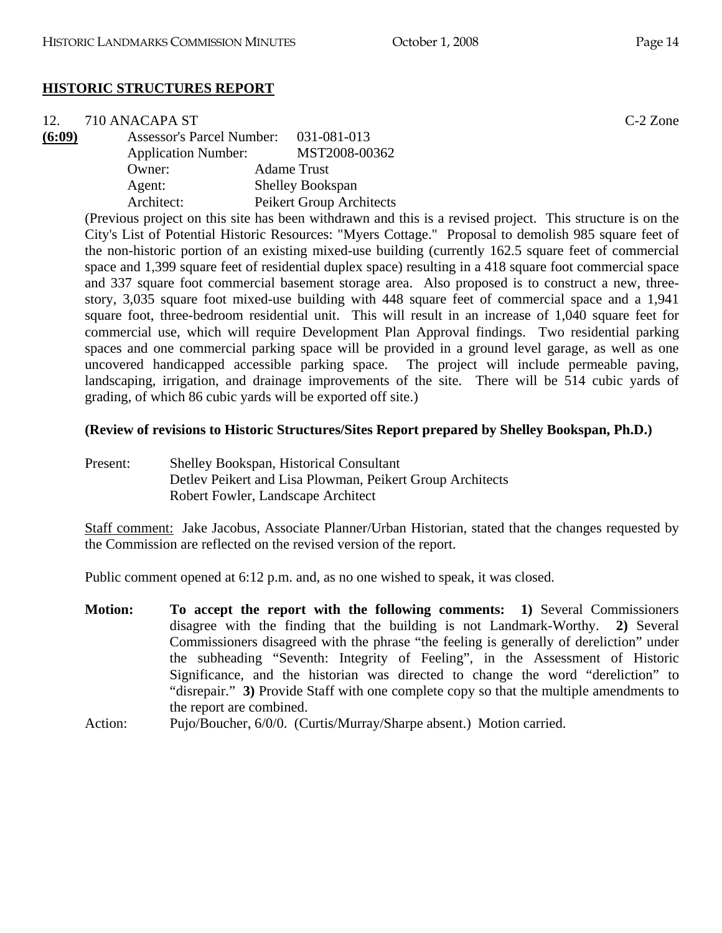# **HISTORIC STRUCTURES REPORT**

| 12.    | 710 ANACAPA ST                        |                                                                                                                 | $C-2$ Zone |
|--------|---------------------------------------|-----------------------------------------------------------------------------------------------------------------|------------|
| (6:09) | Assessor's Parcel Number: 031-081-013 |                                                                                                                 |            |
|        | <b>Application Number:</b>            | MST2008-00362                                                                                                   |            |
|        | Owner:                                | <b>Adame Trust</b>                                                                                              |            |
|        | Agent:                                | <b>Shelley Bookspan</b>                                                                                         |            |
|        | Architect:                            | Peikert Group Architects                                                                                        |            |
|        |                                       | records and the contract of the contract of the contract of the contract of the contract of the contract of the |            |

(Previous project on this site has been withdrawn and this is a revised project. This structure is on the City's List of Potential Historic Resources: "Myers Cottage." Proposal to demolish 985 square feet of the non-historic portion of an existing mixed-use building (currently 162.5 square feet of commercial space and 1,399 square feet of residential duplex space) resulting in a 418 square foot commercial space and 337 square foot commercial basement storage area. Also proposed is to construct a new, threestory, 3,035 square foot mixed-use building with 448 square feet of commercial space and a 1,941 square foot, three-bedroom residential unit. This will result in an increase of 1,040 square feet for commercial use, which will require Development Plan Approval findings. Two residential parking spaces and one commercial parking space will be provided in a ground level garage, as well as one uncovered handicapped accessible parking space. The project will include permeable paving, landscaping, irrigation, and drainage improvements of the site. There will be 514 cubic yards of grading, of which 86 cubic yards will be exported off site.)

#### **(Review of revisions to Historic Structures/Sites Report prepared by Shelley Bookspan, Ph.D.)**

Present: Shelley Bookspan, Historical Consultant Detlev Peikert and Lisa Plowman, Peikert Group Architects Robert Fowler, Landscape Architect

Staff comment: Jake Jacobus, Associate Planner/Urban Historian, stated that the changes requested by the Commission are reflected on the revised version of the report.

Public comment opened at 6:12 p.m. and, as no one wished to speak, it was closed.

- **Motion: To accept the report with the following comments: 1)** Several Commissioners disagree with the finding that the building is not Landmark-Worthy. **2)** Several Commissioners disagreed with the phrase "the feeling is generally of dereliction" under the subheading "Seventh: Integrity of Feeling", in the Assessment of Historic Significance, and the historian was directed to change the word "dereliction" to "disrepair." **3)** Provide Staff with one complete copy so that the multiple amendments to the report are combined.
- Action: Pujo/Boucher, 6/0/0. (Curtis/Murray/Sharpe absent.) Motion carried.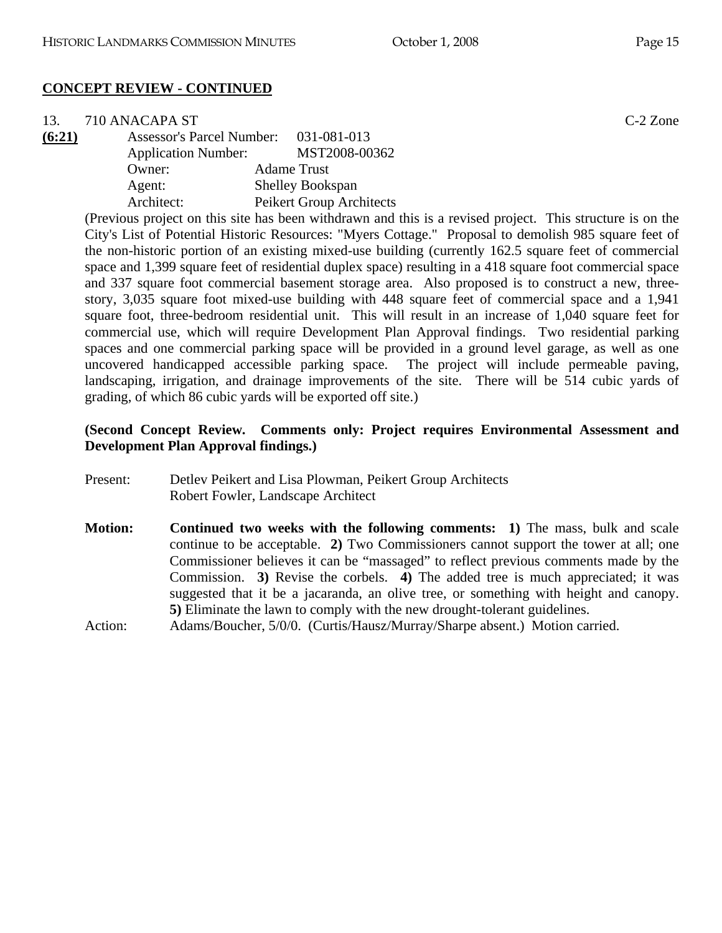| 13.    | 710 ANACAPA ST                        |                          | $C-2$ Zone |
|--------|---------------------------------------|--------------------------|------------|
| (6:21) | Assessor's Parcel Number: 031-081-013 |                          |            |
|        | <b>Application Number:</b>            | MST2008-00362            |            |
|        | Owner:                                | <b>Adame Trust</b>       |            |
|        | Agent:                                | <b>Shelley Bookspan</b>  |            |
|        | Architect:                            | Peikert Group Architects |            |
|        |                                       | .                        |            |

(Previous project on this site has been withdrawn and this is a revised project. This structure is on the City's List of Potential Historic Resources: "Myers Cottage." Proposal to demolish 985 square feet of the non-historic portion of an existing mixed-use building (currently 162.5 square feet of commercial space and 1,399 square feet of residential duplex space) resulting in a 418 square foot commercial space and 337 square foot commercial basement storage area. Also proposed is to construct a new, threestory, 3,035 square foot mixed-use building with 448 square feet of commercial space and a 1,941 square foot, three-bedroom residential unit. This will result in an increase of 1,040 square feet for commercial use, which will require Development Plan Approval findings. Two residential parking spaces and one commercial parking space will be provided in a ground level garage, as well as one uncovered handicapped accessible parking space. The project will include permeable paving, landscaping, irrigation, and drainage improvements of the site. There will be 514 cubic yards of grading, of which 86 cubic yards will be exported off site.)

# **(Second Concept Review. Comments only: Project requires Environmental Assessment and Development Plan Approval findings.)**

- Present: Detlev Peikert and Lisa Plowman, Peikert Group Architects Robert Fowler, Landscape Architect
- **Motion: Continued two weeks with the following comments: 1)** The mass, bulk and scale continue to be acceptable. **2)** Two Commissioners cannot support the tower at all; one Commissioner believes it can be "massaged" to reflect previous comments made by the Commission. **3)** Revise the corbels. **4)** The added tree is much appreciated; it was suggested that it be a jacaranda, an olive tree, or something with height and canopy. **5)** Eliminate the lawn to comply with the new drought-tolerant guidelines.
- Action: Adams/Boucher, 5/0/0. (Curtis/Hausz/Murray/Sharpe absent.) Motion carried.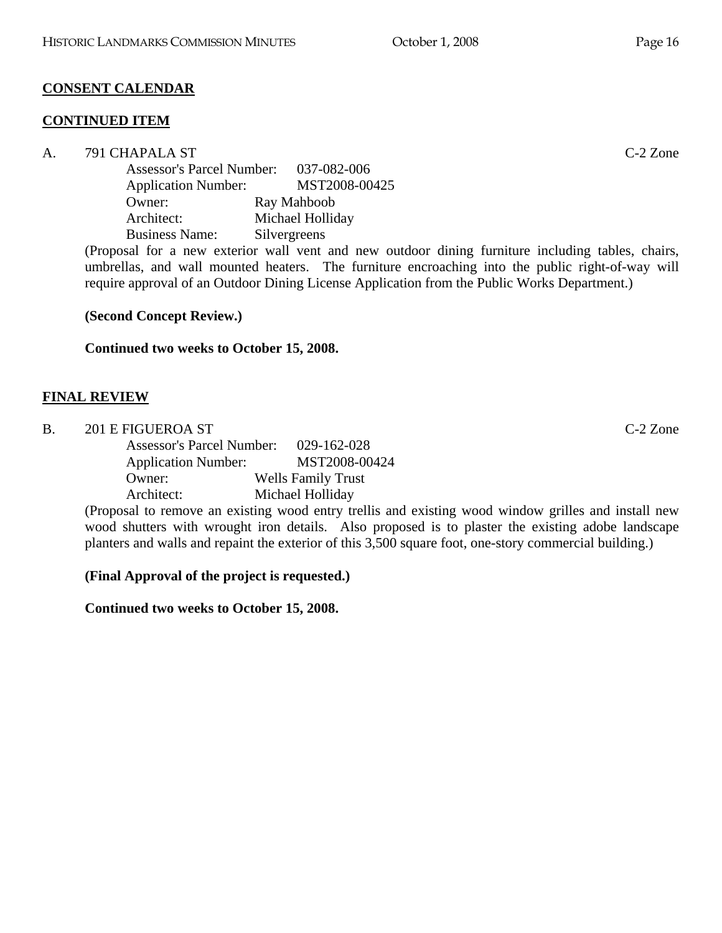# **CONSENT CALENDAR**

# **CONTINUED ITEM**

A. 791 CHAPALA ST C-2 Zone Assessor's Parcel Number: 037-082-006 Application Number: MST2008-00425 Owner: Ray Mahboob Architect: Michael Holliday Business Name: Silvergreens

(Proposal for a new exterior wall vent and new outdoor dining furniture including tables, chairs, umbrellas, and wall mounted heaters. The furniture encroaching into the public right-of-way will require approval of an Outdoor Dining License Application from the Public Works Department.)

**(Second Concept Review.)** 

**Continued two weeks to October 15, 2008.** 

# **FINAL REVIEW**

| 201 E FIGUEROA ST                |                           | $C-2$ Zone |
|----------------------------------|---------------------------|------------|
| <b>Assessor's Parcel Number:</b> | 029-162-028               |            |
| <b>Application Number:</b>       | MST2008-00424             |            |
| Owner:                           | <b>Wells Family Trust</b> |            |
| Architect:                       | Michael Holliday          |            |

(Proposal to remove an existing wood entry trellis and existing wood window grilles and install new wood shutters with wrought iron details. Also proposed is to plaster the existing adobe landscape planters and walls and repaint the exterior of this 3,500 square foot, one-story commercial building.)

# **(Final Approval of the project is requested.)**

**Continued two weeks to October 15, 2008.**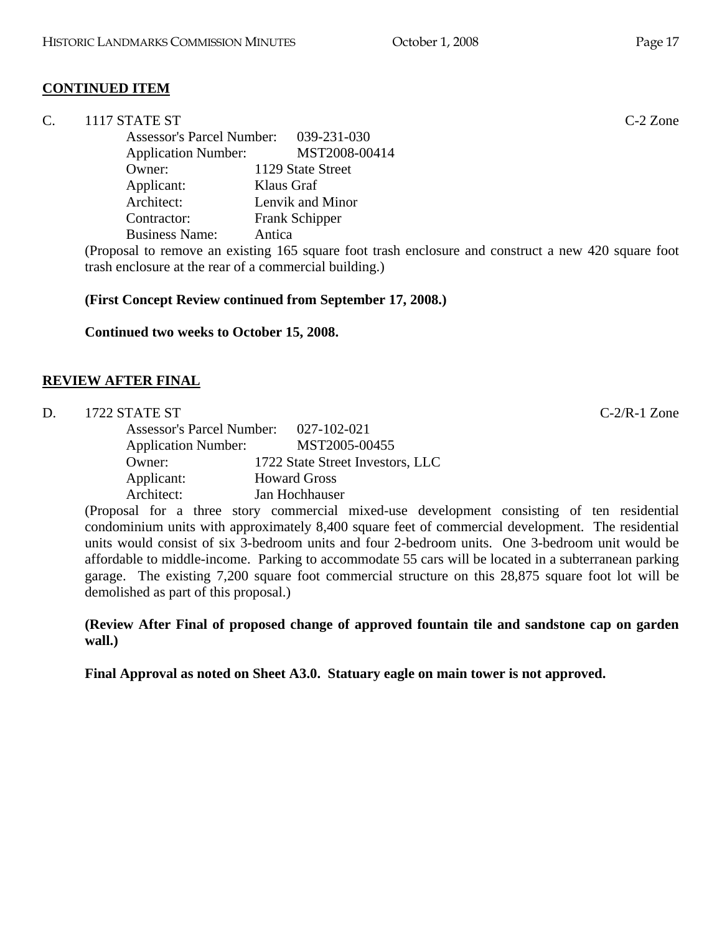# **CONTINUED ITEM**

|  | 1117 STATE ST | $C-2$ Zone |
|--|---------------|------------|
|--|---------------|------------|

 Assessor's Parcel Number: 039-231-030 Application Number: MST2008-00414 Owner: 1129 State Street Applicant: Klaus Graf Architect: Lenvik and Minor Contractor: Frank Schipper Business Name: Antica

(Proposal to remove an existing 165 square foot trash enclosure and construct a new 420 square foot trash enclosure at the rear of a commercial building.)

#### **(First Concept Review continued from September 17, 2008.)**

**Continued two weeks to October 15, 2008.** 

#### **REVIEW AFTER FINAL**

| D. | 1722 STATE ST              |                                                                                            | $C-2/R-1$ Zone |
|----|----------------------------|--------------------------------------------------------------------------------------------|----------------|
|    |                            | Assessor's Parcel Number: 027-102-021                                                      |                |
|    | <b>Application Number:</b> | MST2005-00455                                                                              |                |
|    | Owner:                     | 1722 State Street Investors, LLC                                                           |                |
|    | Applicant:                 | <b>Howard Gross</b>                                                                        |                |
|    | Architect:                 | Jan Hochhauser                                                                             |                |
|    |                            | (Proposal for a three story commercial mixed-use development consisting of ten residential |                |

(Proposal for a three story commercial mixed-use development consisting of ten residential condominium units with approximately 8,400 square feet of commercial development. The residential units would consist of six 3-bedroom units and four 2-bedroom units. One 3-bedroom unit would be affordable to middle-income. Parking to accommodate 55 cars will be located in a subterranean parking garage. The existing 7,200 square foot commercial structure on this 28,875 square foot lot will be demolished as part of this proposal.)

**(Review After Final of proposed change of approved fountain tile and sandstone cap on garden wall.)** 

**Final Approval as noted on Sheet A3.0. Statuary eagle on main tower is not approved.**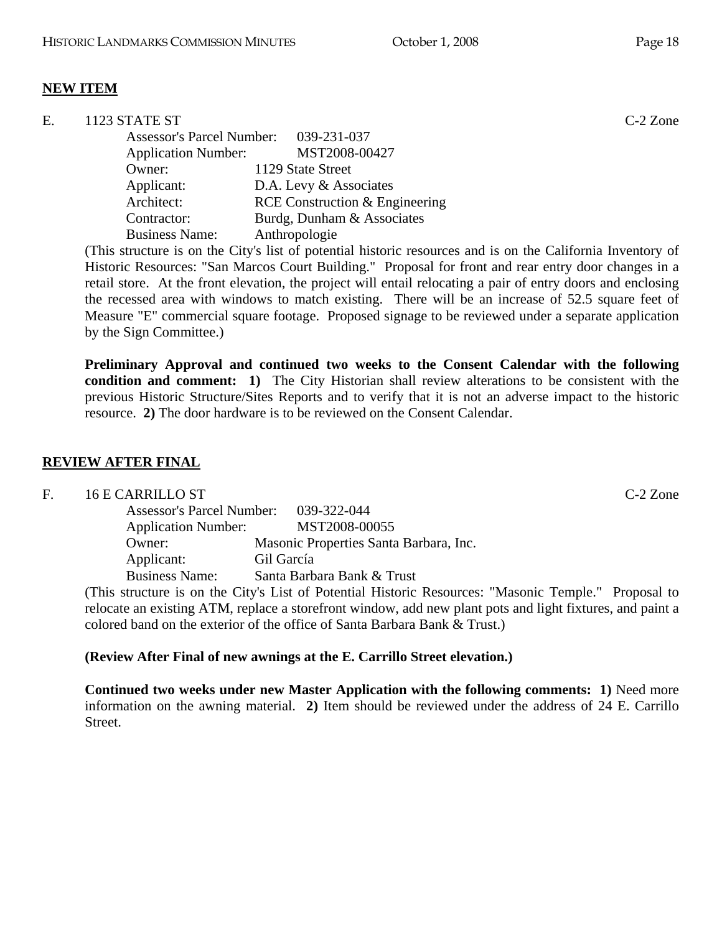# **NEW ITEM**

| $C-2$ Zone |
|------------|
|            |
|            |
|            |
|            |
|            |
|            |
|            |
|            |

(This structure is on the City's list of potential historic resources and is on the California Inventory of Historic Resources: "San Marcos Court Building." Proposal for front and rear entry door changes in a retail store. At the front elevation, the project will entail relocating a pair of entry doors and enclosing the recessed area with windows to match existing. There will be an increase of 52.5 square feet of Measure "E" commercial square footage. Proposed signage to be reviewed under a separate application by the Sign Committee.)

**Preliminary Approval and continued two weeks to the Consent Calendar with the following condition and comment: 1)** The City Historian shall review alterations to be consistent with the previous Historic Structure/Sites Reports and to verify that it is not an adverse impact to the historic resource. **2)** The door hardware is to be reviewed on the Consent Calendar.

# **REVIEW AFTER FINAL**

#### F. 16 E CARRILLO ST C-2 Zone

| <b>Assessor's Parcel Number:</b><br><b>Application Number:</b> | 039-322-044<br>MST2008-00055           |
|----------------------------------------------------------------|----------------------------------------|
| Owner:                                                         | Masonic Properties Santa Barbara, Inc. |
| Applicant:                                                     | Gil García                             |
| <b>Business Name:</b>                                          | Santa Barbara Bank & Trust             |

(This structure is on the City's List of Potential Historic Resources: "Masonic Temple." Proposal to relocate an existing ATM, replace a storefront window, add new plant pots and light fixtures, and paint a colored band on the exterior of the office of Santa Barbara Bank & Trust.)

#### **(Review After Final of new awnings at the E. Carrillo Street elevation.)**

**Continued two weeks under new Master Application with the following comments: 1)** Need more information on the awning material. **2)** Item should be reviewed under the address of 24 E. Carrillo Street.